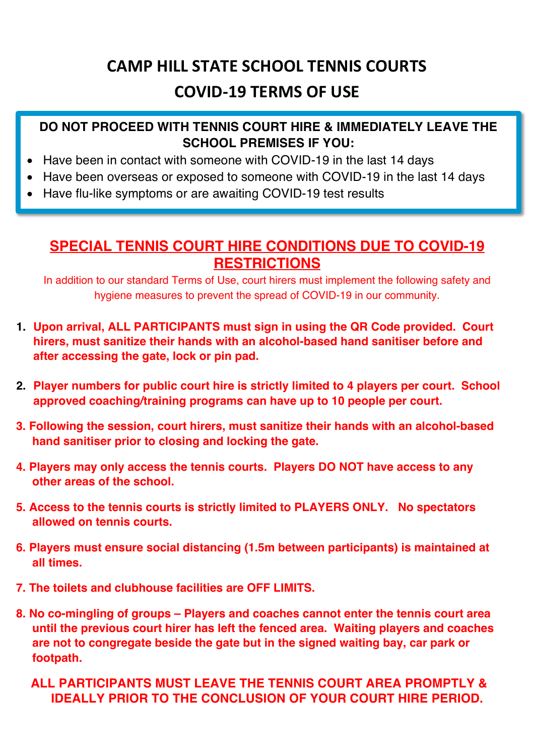## **CAMP HILL STATE SCHOOL TENNIS COURTS COVID-19 TERMS OF USE**

### **DO NOT PROCEED WITH TENNIS COURT HIRE & IMMEDIATELY LEAVE THE SCHOOL PREMISES IF YOU:**

- Have been in contact with someone with COVID-19 in the last 14 days
- Have been overseas or exposed to someone with COVID-19 in the last 14 days
- Have flu-like symptoms or are awaiting COVID-19 test results

## **SPECIAL TENNIS COURT HIRE CONDITIONS DUE TO COVID-19 RESTRICTIONS**

In addition to our standard Terms of Use, court hirers must implement the following safety and hygiene measures to prevent the spread of COVID-19 in our community.

- **1. Upon arrival, ALL PARTICIPANTS must sign in using the QR Code provided. Court hirers, must sanitize their hands with an alcohol-based hand sanitiser before and after accessing the gate, lock or pin pad.**
- **2. Player numbers for public court hire is strictly limited to 4 players per court. School approved coaching/training programs can have up to 10 people per court.**
- **3. Following the session, court hirers, must sanitize their hands with an alcohol-based hand sanitiser prior to closing and locking the gate.**
- **4. Players may only access the tennis courts. Players DO NOT have access to any other areas of the school.**
- **5. Access to the tennis courts is strictly limited to PLAYERS ONLY. No spectators allowed on tennis courts.**
- **6. Players must ensure social distancing (1.5m between participants) is maintained at all times.**
- **7. The toilets and clubhouse facilities are OFF LIMITS.**
- **8. No co-mingling of groups – Players and coaches cannot enter the tennis court area until the previous court hirer has left the fenced area. Waiting players and coaches are not to congregate beside the gate but in the signed waiting bay, car park or footpath.**

**ALL PARTICIPANTS MUST LEAVE THE TENNIS COURT AREA PROMPTLY & IDEALLY PRIOR TO THE CONCLUSION OF YOUR COURT HIRE PERIOD.**